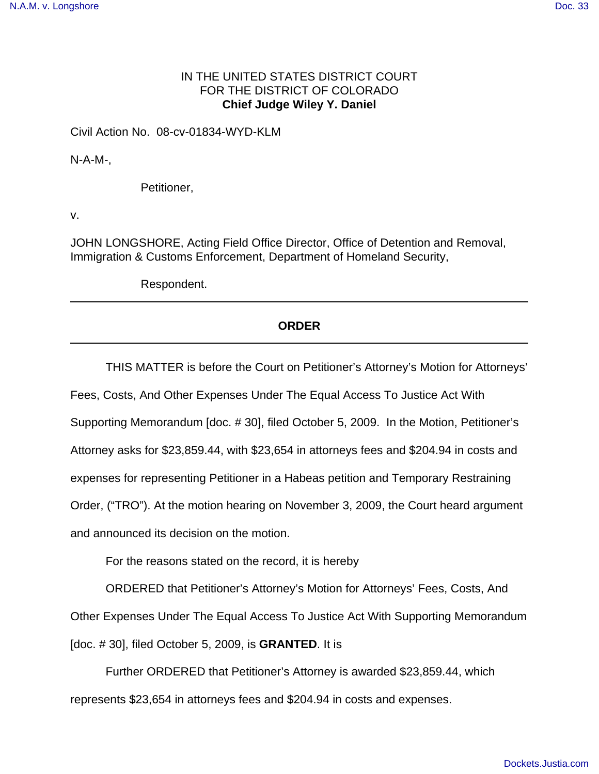## IN THE UNITED STATES DISTRICT COURT FOR THE DISTRICT OF COLORADO **Chief Judge Wiley Y. Daniel**

Civil Action No. 08-cv-01834-WYD-KLM

N-A-M-,

Petitioner,

v.

JOHN LONGSHORE, Acting Field Office Director, Office of Detention and Removal, Immigration & Customs Enforcement, Department of Homeland Security,

Respondent.

## **ORDER**

THIS MATTER is before the Court on Petitioner's Attorney's Motion for Attorneys'

Fees, Costs, And Other Expenses Under The Equal Access To Justice Act With

Supporting Memorandum [doc. # 30], filed October 5, 2009. In the Motion, Petitioner's

Attorney asks for \$23,859.44, with \$23,654 in attorneys fees and \$204.94 in costs and

expenses for representing Petitioner in a Habeas petition and Temporary Restraining

Order, ("TRO"). At the motion hearing on November 3, 2009, the Court heard argument

and announced its decision on the motion.

For the reasons stated on the record, it is hereby

ORDERED that Petitioner's Attorney's Motion for Attorneys' Fees, Costs, And Other Expenses Under The Equal Access To Justice Act With Supporting Memorandum [doc. # 30], filed October 5, 2009, is **GRANTED**. It is

Further ORDERED that Petitioner's Attorney is awarded \$23,859.44, which represents \$23,654 in attorneys fees and \$204.94 in costs and expenses.